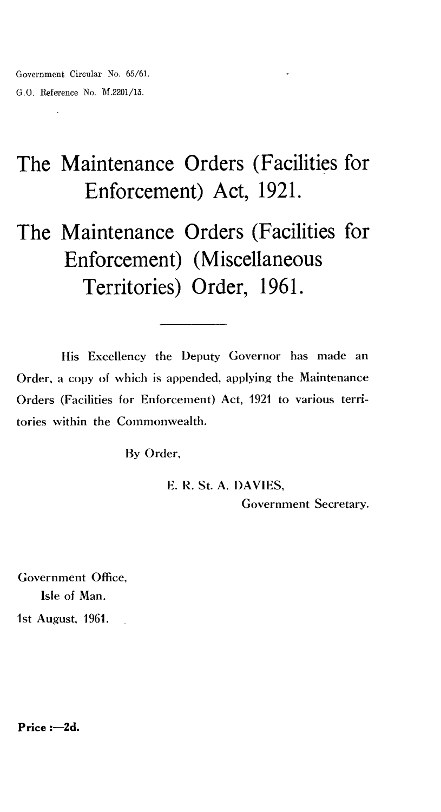# The Maintenance Orders (Facilities for Enforcement) Act, 1921.

The Maintenance Orders (Facilities for Enforcement) (Miscellaneous Territories) Order, 1961.

His Excellency the Deputy Governor has made an Order, a copy of which is appended, applying the Maintenance Orders (Facilities for Enforcement) Act, 1921 to various territories within the Commonwealth.

By Order,

E. R. St. A. DAVIES, Government Secretary.

Government Office, Isle of Man. 1st August, 1961.

**Price :- 2d.**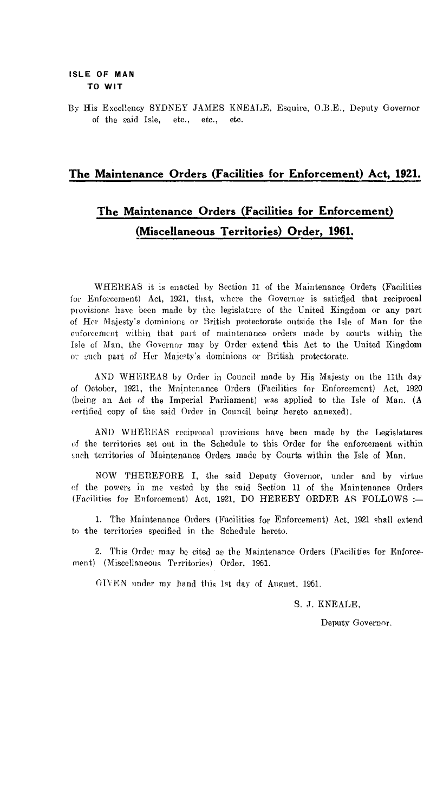By His Excellency SYDNEY JAMES KNEALE, Esquire, O.B.E., Deputy Governor of the said Isle, etc., etc., etc.

### **The Maintenance Orders (Facilities for Enforcement) Act, 1921.**

## **The Maintenance Orders (Facilities for Enforcement) (Miscellaneous Territories) Order, 1961.**

WHEREAS it is enacted by Section 11 of the Maintenance Orders (Facilities for Enforcement) Act, 1921, that, where the Governor is satisfied that reciprocal provisions have been made by the legislature of the United Kingdom or any part of Her Majesty's dominions or British protectorate outside the Isle of Man for the enforcement within that part of maintenance orders made by courts within the Isle of Man, the Governor may by Order extend this Act to the United Kingdom or such part of Her Majesty's dominions or British protectorate.

AND WHEREAS by Order in Council made by His Majesty on the 11th day of October, 1921, the Maintenance Orders (Facilities for Enforcement) Act, 1920 (being an Act of the Imperial Parliament) was applied to the Isle of Man. (A certified copy of the said Order in Council being hereto annexed).

AND WHEREAS reciprocal provisions have been made by the Legislatures of the territories set out in the Schedule to this Order for the enforcement within such territories of Maintenance Orders made by Courts within the Isle of Man.

NOW THEREFORE I, the said Deputy Governor, under and by virtue of the powers in me vested by the said Section 11 of the Maintenance Orders (Facilities for Enforcement) Act, 1921, DO HEREBY ORDER AS FOLLOWS :—

1. The Maintenance Orders (Facilities for Enforcement) Act, 1921 shall extend to the territories specified in the Schedule hereto.

2. This Order may be cited as the Maintenance Orders (Facilities for Enforcement) (Miscellaneous Territories) Order, 1961.

(I-EVEN under my hand this 1st day of August, 1961.

S. J. KNEALE,

Deputy Governor.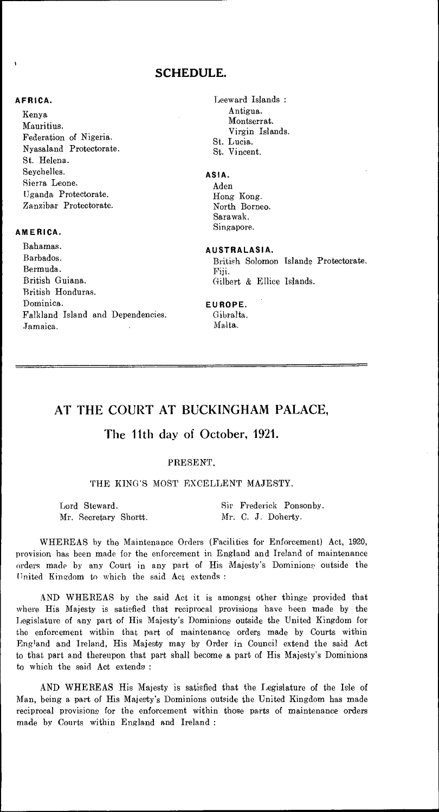### **SCHEDULE.**

### **AFRICA.**

Kenya Mauritius. Federation of Nigeria. Nyasaland Protectorate. St. Helena. Seychelles. Sierra Leone. Uganda Protectorate. Zanzibar Protectorate.

### **AMERICA.**

Bahamas. **AUSTRALASIA.**  Bermuda.<br>British Guiana.<br>Gilb British Honduras. Dominica. **EUROPE.**  Falkland Island and Dependencies. Gibralta.<br>
Jamaica Malta. Jamaica.

Leeward Islands : Antigua. Montserrat. Virgin Islands. St. Lucia. St. Vincent.

### **ASIA.**

Aden Hong Kong. North Borneo. Sarawak. Singapore..

British Solomon Islands Protectorate. Gilbert & Ellice Islands.

### AT THE COURT AT BUCKINGHAM PALACE,

### The 11th day of October, 1921.

### PRESENT,

### THE KING'S MOST EXCELLENT MAJESTY.

| Lord Steward.         | Sir Frederick Ponsonby. |
|-----------------------|-------------------------|
| Mr. Secretary Shortt. | Mr. C. J. Doherty.      |

WHEREAS by the Maintenance Orders (Facilities for Enforcement) Act, 1920, provision has been made for the enforcement in England and Ireland of maintenance orders made by any Court in any part of His Majesty's Dominions' outside the United Kingdom to which the said Act extends :

AND WHEREAS by the said Act it is amongst other things provided that where His Majesty is satisfied that reciprocal provisions have been made by the Legislature of any part of His Majesty's Dominions outside the United Kingdom for the enforcement within that part of maintenance orders made by Courts within England and Ireland, His Majesty may by Order in Council extend the said Act to that part and thereupon that part shall become a part of His Majesty's Dominions to which the said Act extends :

AND WHEREAS His Majesty is satisfied that the Legislature of the Isle of Man, being a part of His Majesty's Dominions outside the United Kingdom has made reciprocal provisions for the enforcement within those parts of maintenance orders made by Courts within England and Ireland :